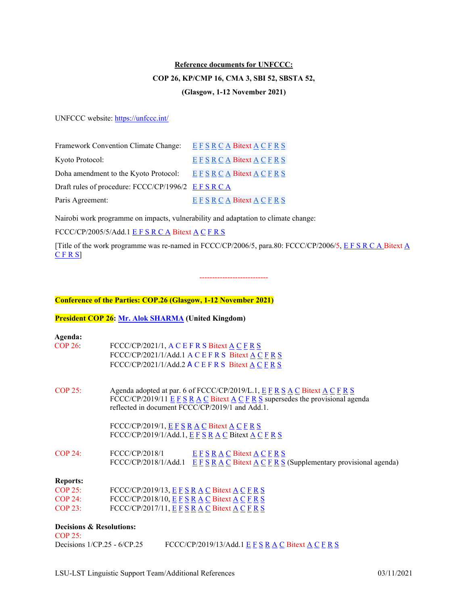# **Reference documents for UNFCCC: COP 26, KP/CMP 16, CMA 3, SBI 52, SBSTA 52, (Glasgow, 1-12 November 2021)**

UNFCCC website: https://unfccc.int/

| Framework Convention Climate Change:            | E F S R C A Bitext A C F R S      |
|-------------------------------------------------|-----------------------------------|
| Kyoto Protocol:                                 | EFSRCA Bitext A CFRS              |
| Doha amendment to the Kyoto Protocol:           | E F S R C A Bitext A C F R S      |
| Draft rules of procedure: FCCC/CP/1996/2 EFSRCA |                                   |
| Paris Agreement:                                | $E F S R C A B$ itext $A C F R S$ |

Nairobi work programme on impacts, vulnerability and adaptation to climate change:

FCCC/CP/2005/5/Add.1 [E](https://conferences.unite.un.org/documentstorage/Gdocfilesapi/GetDocInOriginalFormat?docId=0ac605d7-c5e5-4ff4-ad3e-7e5d5f9de400) [F](https://conferences.unite.un.org/documentstorage/MultiLanguageAlignment.bitext?DocID=0ac605d7-c5e5-4ff4-ad3e-7e5d5f9de400&language1=English&language2=French) [S](https://conferences.unite.un.org/documentstorage/MultiLanguageAlignment.bitext?DocID=0ac605d7-c5e5-4ff4-ad3e-7e5d5f9de400&language1=English&language2=Spanish) [R](https://conferences.unite.un.org/documentstorage/MultiLanguageAlignment.bitext?DocID=0ac605d7-c5e5-4ff4-ad3e-7e5d5f9de400&language1=English&language2=Russian) [C](https://conferences.unite.un.org/documentstorage/MultiLanguageAlignment.bitext?DocID=0ac605d7-c5e5-4ff4-ad3e-7e5d5f9de400&language1=English&language2=Chinese) [A](https://conferences.unite.un.org/documentstorage/MultiLanguageAlignment.bitext?DocID=0ac605d7-c5e5-4ff4-ad3e-7e5d5f9de400&language1=English&language2=Arabic) Bitext A C F R S

[Title of the work programme was re-named in FCCC/CP/2006/5, para.80: FCCC/CP/2006/5, [E](https://conferences.unite.un.org/documentstorage/Gdocfilesapi/GetDocInOriginalFormat?docId=69003c83-85c5-486d-ab01-80122feb941e) [F](https://conferences.unite.un.org/documentstorage/Gdocfilesapi/GetDocInOriginalFormat?docId=7655e881-234c-41ad-8eec-2b6cc78a6fb5) [S](https://conferences.unite.un.org/documentstorage/Gdocfilesapi/GetDocInOriginalFormat?docId=d88652b9-0877-4e62-b447-1ec6f4c436c7) [R](https://conferences.unite.un.org/documentstorage/Gdocfilesapi/GetDocInOriginalFormat?docId=9cd639e9-d4c5-43af-9652-76b38c1c91d2) [C](https://conferences.unite.un.org/documentstorage/Gdocfilesapi/GetDocInOriginalFormat?docId=28f692ce-34c1-43da-b1f2-8f05aa8becb5) [A](https://conferences.unite.un.org/documentstorage/MultiLanguageAlignment.bitext?DocID=69003c83-85c5-486d-ab01-80122feb941e&language1=English&language2=Arabic) Bitext A [C](https://conferences.unite.un.org/documentstorage/MultiLanguageAlignment.bitext?DocID=69003c83-85c5-486d-ab01-80122feb941e&language1=English&language2=Chinese) [F](https://conferences.unite.un.org/documentstorage/MultiLanguageAlignment.bitext?DocID=69003c83-85c5-486d-ab01-80122feb941e&language1=English&language2=French) [R](https://conferences.unite.un.org/documentstorage/MultiLanguageAlignment.bitext?DocID=69003c83-85c5-486d-ab01-80122feb941e&language1=English&language2=Russian) [S\]](https://conferences.unite.un.org/documentstorage/MultiLanguageAlignment.bitext?DocID=69003c83-85c5-486d-ab01-80122feb941e&language1=English&language2=Spanish)

---------------------------

### **Conference of the Parties: COP.26 (Glasgow, 1-12 November 2021)**

# **President COP 26: [Mr. Alok SHARMA](https://unfccc.int/sites/default/files/resource/Alok%20Sharma%20Biography.pdf) (United Kingdom)**

| Agenda:<br>COP 26:                    | FCCC/CP/2021/1, A C E F R S Bitext A C F R S<br>FCCC/CP/2021/1/Add.1 A C E F R S Bitext A C F R S<br>FCCC/CP/2021/1/Add.2 A C E F R S Bitext A C F R S                                                               |
|---------------------------------------|----------------------------------------------------------------------------------------------------------------------------------------------------------------------------------------------------------------------|
| COP 25:                               | Agenda adopted at par. 6 of FCCC/CP/2019/L.1, E F R S A C Bitext A C F R S<br>FCCC/CP/2019/11 $E F S R A C B$ itext $A C F R S$ supersedes the provisional agenda<br>reflected in document FCCC/CP/2019/1 and Add.1. |
|                                       | FCCC/CP/2019/1, $E F S R A C B$ itext $A C F R S$<br>FCCC/CP/2019/1/Add.1, $E F S R A C$ Bitext $A C F R S$                                                                                                          |
| COP 24:                               | FCCC/CP/2018/1<br>$E F S R A C B$ itext $A C F R S$<br>FCCC/CP/2018/1/Add.1 $E F S R A C B$ itext $A C F R S$ (Supplementary provisional agenda)                                                                     |
| <b>Reports:</b>                       |                                                                                                                                                                                                                      |
| $COP$ 25:                             | FCCC/CP/2019/13, $E F S R A C B$ itext $A C F R S$                                                                                                                                                                   |
| COP 24:                               | FCCC/CP/2018/10, $E F S R A C B$ itext $A C F R S$                                                                                                                                                                   |
| $COP$ 23:                             | FCCC/CP/2017/11, $E$ F S R A C Bitext A C F R S                                                                                                                                                                      |
| Decisions & Resolutions:<br>$COP$ 25: |                                                                                                                                                                                                                      |

| FCCC/CP/2019/13/Add.1 E F S R A C Bitext A C F R S<br>Decisions $1/CP.25 - 6/CP.25$ |
|-------------------------------------------------------------------------------------|
|-------------------------------------------------------------------------------------|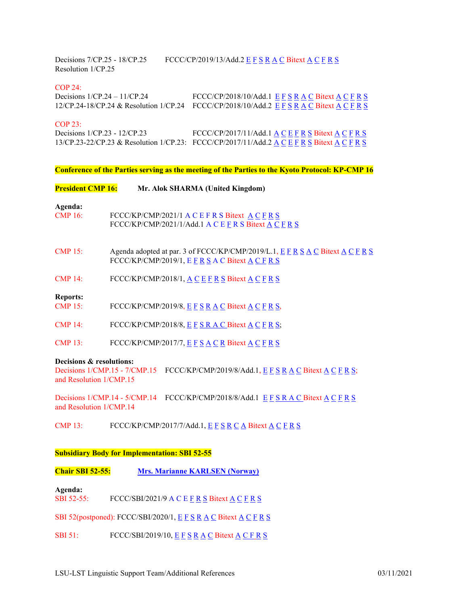Decisions 7/CP.25 - 18/CP.25 FCCC/CP/2019/13/Add.2 [E](https://conferences.unite.un.org/documentstorage/Gdocfilesapi/GetDocInOriginalFormat?docId=4d413584-f3df-4bc1-b4e4-576b79c89fb7) [F](https://conferences.unite.un.org/documentstorage/Gdocfilesapi/GetDocInOriginalFormat?docId=af13e288-48ab-4c65-a690-e14c7d131f49) [S](https://conferences.unite.un.org/documentstorage/Gdocfilesapi/GetDocInOriginalFormat?docId=b2d466ed-178d-4417-8a90-edf85f389870) [R](https://conferences.unite.un.org/documentstorage/Gdocfilesapi/GetDocInOriginalFormat?docId=8f30e44f-4621-4551-a6f1-b9e023f3af11) [A](https://conferences.unite.un.org/documentstorage/Gdocfilesapi/GetDocInOriginalFormat?docId=f4876a59-af7d-48b4-96d4-bbbc5629044d) [C](https://conferences.unite.un.org/documentstorage/Gdocfilesapi/GetDocInOriginalFormat?docId=6dd118f6-6627-4164-99dc-f59f315ee7ad) Bitext [A](https://conferences.unite.un.org/documentstorage/MultiLanguageAlignment.bitext?DocID=4d413584-f3df-4bc1-b4e4-576b79c89fb7&language1=ENGLISH&language2=Arabic) [C](https://conferences.unite.un.org/documentstorage/MultiLanguageAlignment.bitext?DocID=4d413584-f3df-4bc1-b4e4-576b79c89fb7&language1=ENGLISH&language2=Chinese) [F](https://conferences.unite.un.org/documentstorage/MultiLanguageAlignment.bitext?DocID=4d413584-f3df-4bc1-b4e4-576b79c89fb7&language1=ENGLISH&language2=French) [R](https://conferences.unite.un.org/documentstorage/MultiLanguageAlignment.bitext?DocID=4d413584-f3df-4bc1-b4e4-576b79c89fb7&language1=ENGLISH&language2=Russian) [S](https://conferences.unite.un.org/documentstorage/MultiLanguageAlignment.bitext?DocID=4d413584-f3df-4bc1-b4e4-576b79c89fb7&language1=ENGLISH&language2=Spanish)  Resolution 1/CP.25

#### COP 24:

Decisions  $1/CP.24 - 11/CP.24$  $1/CP.24 - 11/CP.24$  $1/CP.24 - 11/CP.24$  [F](https://conferences.unite.un.org/documentstorage/MultiLanguageAlignment.bitext?DocID=87a039d4-1112-46db-869a-be8f40c209dc&language1=ENGLISH&language2=French)CCC/CP/2018/10/[A](https://conferences.unite.un.org/documentstorage/MultiLanguageAlignment.bitext?DocID=87a039d4-1112-46db-869a-be8f40c209dc&language1=ENGLISH&language2=Arabic)dd.1  $E F S R A C B$  $E F S R A C B$  $E F S R A C B$  $E F S R A C B$  $E F S R A C B$  $E F S R A C B$ itext  $A C F R S$ 12/CP.24-18/CP.24 & Resolution 1/CP.24 FCCC/CP/2018/10/Add.2 [E](https://conferences.unite.un.org/DocumentStorage/GetDocInOriginalFormat.drsx?DocID=4e738fbe-d814-4861-a652-1f0a9bf73cfc) [F](https://conferences.unite.un.org/DocumentStorage/GetDocInOriginalFormat.drsx?DocID=ff5c935d-1b30-443d-befc-1c01034ddf81) [S](https://conferences.unite.un.org/DocumentStorage/GetDocInOriginalFormat.drsx?DocID=a69ebe64-1213-4132-af89-10d72bf587a0) [R](https://conferences.unite.un.org/DocumentStorage/GetDocInOriginalFormat.drsx?DocID=a633e30a-efa6-4825-b01a-879b1b454784) [A](https://conferences.unite.un.org/DocumentStorage/GetDocInOriginalFormat.drsx?DocID=19e388b9-70ab-466d-a8ac-5390cd48e19e) [C](https://conferences.unite.un.org/DocumentStorage/GetDocInOriginalFormat.drsx?DocID=0f87ef4b-451b-4c17-a777-479875491745) Bitext [A](https://conferences.unite.un.org/documentstorage/MultiLanguageAlignment.bitext?DocID=4e738fbe-d814-4861-a652-1f0a9bf73cfc&language1=ENGLISH&language2=Arabic) [C](https://conferences.unite.un.org/documentstorage/MultiLanguageAlignment.bitext?DocID=4e738fbe-d814-4861-a652-1f0a9bf73cfc&language1=ENGLISH&language2=Chinese) [F](https://conferences.unite.un.org/documentstorage/MultiLanguageAlignment.bitext?DocID=4e738fbe-d814-4861-a652-1f0a9bf73cfc&language1=ENGLISH&language2=French) [R](https://conferences.unite.un.org/documentstorage/MultiLanguageAlignment.bitext?DocID=4e738fbe-d814-4861-a652-1f0a9bf73cfc&language1=ENGLISH&language2=Russian) [S](https://conferences.unite.un.org/documentstorage/MultiLanguageAlignment.bitext?DocID=4e738fbe-d814-4861-a652-1f0a9bf73cfc&language1=ENGLISH&language2=Spanish)

#### COP 23:

Decisions  $1/CP.23 - 12/CP.23$  $1/CP.23 - 12/CP.23$  $1/CP.23 - 12/CP.23$  [F](https://conferences.unite.un.org/documentstorage/MultiLanguageAlignment.bitext?DocID=d1642ccb-282a-4942-9bd8-70a55d24abf0&language1=ENGLISH&language2=French)CCC/CP/2017/11/[A](https://conferences.unite.un.org/documentstorage/MultiLanguageAlignment.bitext?DocID=d1642ccb-282a-4942-9bd8-70a55d24abf0&language1=ENGLISH&language2=Arabic)dd.1  $A C E F R S$  $A C E F R S$  $A C E F R S$  $A C E F R S$  $A C E F R S$  $A C E F R S$  Bitext  $A C F R S$ 13/CP.23-22/CP.23 & Resolution 1/CP.23: FCCC/CP/2017/11/[A](https://conferences.unite.un.org/documentstorage/MultiLanguageAlignment.bitext?DocID=8396ccf0-9b8a-4b97-b1b1-a434a873169d&language1=ENGLISH&language2=Arabic)dd.2  $A C E F R S$  $A C E F R S$  $A C E F R S$  $A C E F R S$  $A C E F R S$  $A C E F R S$  $A C E F R S$  $A C E F R S$  $A C E F R S$  $A C E F R S$  Bitext  $A C F R S$ 

**Conference of the Parties serving as the meeting of the Parties to the Kyoto Protocol: KP-CMP 16**

**President CMP 16: Mr. Alok SHARMA (United Kingdom) Agenda:** FCCC/KP/CMP/2021/1 [A](https://conferences.unite.un.org/documentstorage/Gdocfilesapi/GetDocInOriginalFormat?docId=b5be1467-c433-433c-90ea-76182a0086fa) [C](https://conferences.unite.un.org/documentstorage/MultiLanguageAlignment.bitext?DocID=54c1ff66-90a9-42fe-b520-2888ba9efcbb&language1=ENGLISH&language2=Chinese) [E](https://conferences.unite.un.org/documentstorage/Gdocfilesapi/GetDocInOriginalFormat?docId=54c1ff66-90a9-42fe-b520-2888ba9efcbb) [F](https://conferences.unite.un.org/documentstorage/MultiLanguageAlignment.bitext?DocID=54c1ff66-90a9-42fe-b520-2888ba9efcbb&language1=ENGLISH&language2=French) [R](https://conferences.unite.un.org/documentstorage/MultiLanguageAlignment.bitext?DocID=54c1ff66-90a9-42fe-b520-2888ba9efcbb&language1=ENGLISH&language2=Russian) [S](https://conferences.unite.un.org/documentstorage/MultiLanguageAlignment.bitext?DocID=54c1ff66-90a9-42fe-b520-2888ba9efcbb&language1=ENGLISH&language2=Spanish) Bitext [A](https://conferences.unite.un.org/documentstorage/MultiLanguageAlignment.bitext?DocID=54c1ff66-90a9-42fe-b520-2888ba9efcbb&language1=ENGLISH&language2=Arabic) C F R S FCCC/KP/CMP/2021/1/Add.[1 A](https://conferences.unite.un.org/documentstorage/Gdocfilesapi/GetDocInOriginalFormat?docId=0735ffe3-3e9c-4f5c-bb80-2fcdeec1bb54) [C](https://conferences.unite.un.org/documentstorage/Gdocfilesapi/GetDocInOriginalFormat?docId=08200dfb-888c-4271-b4be-dbdb7044532b) [E](https://conferences.unite.un.org/documentstorage/Gdocfilesapi/GetDocInOriginalFormat?docId=67fb0e2c-62b8-4a75-8be0-92feed03f2d5) [F](https://conferences.unite.un.org/documentstorage/Gdocfilesapi/GetDocInOriginalFormat?docId=d740159e-24f4-4fd6-82b3-d1e1313dc809) [R](https://conferences.unite.un.org/documentstorage/Gdocfilesapi/GetDocInOriginalFormat?docId=a35c1cba-fbd6-4abb-b515-6ce3c4e7761d) [S](https://conferences.unite.un.org/documentstorage/Gdocfilesapi/GetDocInOriginalFormat?docId=274652de-cd4d-4238-b8f9-0d96042e5bc4) Bitext [A](https://conferences.unite.un.org/documentstorage/MultiLanguageAlignment.bitext?DocID=67fb0e2c-62b8-4a75-8be0-92feed03f2d5&language1=ENGLISH&language2=Arabic) [C](https://conferences.unite.un.org/documentstorage/MultiLanguageAlignment.bitext?DocID=67fb0e2c-62b8-4a75-8be0-92feed03f2d5&language1=ENGLISH&language2=Chinese) [F](https://conferences.unite.un.org/documentstorage/MultiLanguageAlignment.bitext?DocID=67fb0e2c-62b8-4a75-8be0-92feed03f2d5&language1=ENGLISH&language2=French) [R](https://conferences.unite.un.org/documentstorage/MultiLanguageAlignment.bitext?DocID=67fb0e2c-62b8-4a75-8be0-92feed03f2d5&language1=ENGLISH&language2=Russian) [S](https://conferences.unite.un.org/documentstorage/MultiLanguageAlignment.bitext?DocID=67fb0e2c-62b8-4a75-8be0-92feed03f2d5&language1=ENGLISH&language2=Spanish) CMP 15: Agenda adopted at par. 3 of [F](https://conferences.unite.un.org/documentstorage/MultiLanguageAlignment.bitext?DocID=5a99be30-b292-4f63-bc75-f8441cb7a937&language1=ENGLISH&language2=French)[C](https://conferences.unite.un.org/documentstorage/MultiLanguageAlignment.bitext?DocID=5a99be30-b292-4f63-bc75-f8441cb7a937&language1=ENGLISH&language2=Chinese)CC/KP/CMP/2019/L.1,  $E$  F [R](https://conferences.unite.un.org/documentstorage/MultiLanguageAlignment.bitext?DocID=5a99be30-b292-4f63-bc75-f8441cb7a937&language1=ENGLISH&language2=Russian) [S](https://conferences.unite.un.org/documentstorage/MultiLanguageAlignment.bitext?DocID=5a99be30-b292-4f63-bc75-f8441cb7a937&language1=ENGLISH&language2=Spanish) [A](https://conferences.unite.un.org/documentstorage/Gdocfilesapi/GetDocInOriginalFormat?docId=3445b5f6-9d8f-41dc-8bb3-4d138fdb1c7d) C Bitex[t A](https://conferences.unite.un.org/documentstorage/MultiLanguageAlignment.bitext?DocID=5a99be30-b292-4f63-bc75-f8441cb7a937&language1=ENGLISH&language2=Arabic) C F R S [F](https://conferences.unite.un.org/documentstorage/MultiLanguageAlignment.bitext?DocID=9f7c0d88-c208-4fcd-af9f-4a5e7101f4a4&language1=ENGLISH&language2=French)[C](https://conferences.unite.un.org/DocumentStorage/GetDocInOriginalFormat.drsx?DocID=136ee7c7-64c3-4ab6-a365-e4a22db5854f)CC/KP/CMP/2019/1,  $E$   $F$   $R$   $S$   $A$   $C$  Bitext  $A$   $C$   $F$   $R$   $S$ [C](https://conferences.unite.un.org/documentstorage/MultiLanguageAlignment.bitext?DocID=46266632-a63d-4329-8508-77acc9280594&language1=ENGLISH&language2=Chinese)MP 14: [F](https://conferences.unite.un.org/documentstorage/MultiLanguageAlignment.bitext?DocID=46266632-a63d-4329-8508-77acc9280594&language1=ENGLISH&language2=French)CCC/KP/CMP/2018/1,  $\underline{A} \underline{C} \underline{E} \underline{F} \underline{R} \underline{S}$  $\underline{A} \underline{C} \underline{E} \underline{F} \underline{R} \underline{S}$  $\underline{A} \underline{C} \underline{E} \underline{F} \underline{R} \underline{S}$  $\underline{A} \underline{C} \underline{E} \underline{F} \underline{R} \underline{S}$  $\underline{A} \underline{C} \underline{E} \underline{F} \underline{R} \underline{S}$  $\underline{A} \underline{C} \underline{E} \underline{F} \underline{R} \underline{S}$  $\underline{A} \underline{C} \underline{E} \underline{F} \underline{R} \underline{S}$  $\underline{A} \underline{C} \underline{E} \underline{F} \underline{R} \underline{S}$  $\underline{A} \underline{C} \underline{E} \underline{F} \underline{R} \underline{S}$  Bitext  $\underline{A} \underline{C} \underline{F} \underline{R} \underline{S}$ **Reports:** CMP 15: [F](https://conferences.unite.un.org/documentstorage/MultiLanguageAlignment.bitext?DocID=a20a9820-0b1e-43d0-bbe4-bb6eaa5f64fa&language1=ENGLISH&language2=French)[C](https://conferences.unite.un.org/documentstorage/MultiLanguageAlignment.bitext?DocID=a20a9820-0b1e-43d0-bbe4-bb6eaa5f64fa&language1=ENGLISH&language2=Chinese)CC/KP/CMP/2019/8,  $E F S R A C B$  $E F S R A C B$  $E F S R A C B$  $E F S R A C B$  $E F S R A C B$  $E F S R A C B$  $E F S R A C B$ itext  $A C F R S$ , CMP 14: [F](https://conferences.unite.un.org/documentstorage/MultiLanguageAlignment.bitext?DocID=913ddb12-9a5a-4d8b-8d2d-24460250e466&language1=ENGLISH&language2=French)[C](https://conferences.unite.un.org/documentstorage/MultiLanguageAlignment.bitext?DocID=913ddb12-9a5a-4d8b-8d2d-24460250e466&language1=ENGLISH&language2=Chinese)CC/KP/CMP/2018/8,  $E F S R A C B$  $E F S R A C B$  $E F S R A C B$  $E F S R A C B$  $E F S R A C B$  $E F S R A C B$  $E F S R A C B$ itext  $A C F R S$ ; CMP 13: [F](https://conferences.unite.un.org/documentstorage/MultiLanguageAlignment.bitext?DocID=19346ed7-8ac9-4b28-8b00-2da005072e64&language1=ENGLISH&language2=French)[C](https://conferences.unite.un.org/documentstorage/MultiLanguageAlignment.bitext?DocID=19346ed7-8ac9-4b28-8b00-2da005072e64&language1=ENGLISH&language2=Chinese)CC/KP/CMP/2017/7,  $E F S A C R B$  $E F S A C R B$  $E F S A C R B$  $E F S A C R B$  $E F S A C R B$  $E F S A C R B$  $E F S A C R B$ itext  $A C F R S$ **Decisions & resolutions:** Decisions 1/CMP.15 - 7/CMP.15 [F](https://conferences.unite.un.org/documentstorage/MultiLanguageAlignment.bitext?DocID=2bc4c107-b33c-4c88-aee6-0c7288fd6660&language1=ENGLISH&language2=French)CCC/KP/CMP/2019/8/[A](https://conferences.unite.un.org/documentstorage/Gdocfilesapi/GetDocInOriginalFormat?docId=f3d133df-ed72-42a8-81e7-6175f0b1039f)dd.1,  $E$  F [S](https://conferences.unite.un.org/documentstorage/Gdocfilesapi/GetDocInOriginalFormat?docId=9b40a613-e8f1-4982-8c31-765df8218eab) [R](https://conferences.unite.un.org/documentstorage/MultiLanguageAlignment.bitext?DocID=2bc4c107-b33c-4c88-aee6-0c7288fd6660&language1=ENGLISH&language2=Russian)  $A$  [C](https://conferences.unite.un.org/documentstorage/MultiLanguageAlignment.bitext?DocID=2bc4c107-b33c-4c88-aee6-0c7288fd6660&language1=ENGLISH&language2=Chinese) Bitext  $A$  C F R [S;](https://conferences.unite.un.org/documentstorage/MultiLanguageAlignment.bitext?DocID=2bc4c107-b33c-4c88-aee6-0c7288fd6660&language1=ENGLISH&language2=Spanish) and Resolution 1/CMP.15

Decisions  $1/CMP.14 - 5/CMP.14$  $1/CMP.14 - 5/CMP.14$  $1/CMP.14 - 5/CMP.14$  FCCC/KP/CMP/2018/8/Add.1 [E](https://conferences.unite.un.org/DocumentStorage/GetDocInOriginalFormat.drsx?DocID=c33fe55f-d6dc-4c60-915f-afeb381bff5e) [F](https://conferences.unite.un.org/documentstorage/MultiLanguageAlignment.bitext?DocID=c33fe55f-d6dc-4c60-915f-afeb381bff5e&language1=ENGLISH&language2=French) [S](https://conferences.unite.un.org/documentstorage/MultiLanguageAlignment.bitext?DocID=c33fe55f-d6dc-4c60-915f-afeb381bff5e&language1=ENGLISH&language2=Spanish) [R](https://conferences.unite.un.org/documentstorage/MultiLanguageAlignment.bitext?DocID=c33fe55f-d6dc-4c60-915f-afeb381bff5e&language1=ENGLISH&language2=Russian) [A](https://conferences.unite.un.org/DocumentStorage/GetDocInOriginalFormat.drsx?DocID=727d604e-f9b8-460b-9e45-6b4d306dd4ba) C Bitext [A](https://conferences.unite.un.org/documentstorage/MultiLanguageAlignment.bitext?DocID=c33fe55f-d6dc-4c60-915f-afeb381bff5e&language1=ENGLISH&language2=Arabic) C F R S and Resolution 1/CMP.14

CMP 13: FCCC/KP/CMP/2017/7/Add.1, [E](https://conferences.unite.un.org/DocumentStorage/GetDocInOriginalFormat.drsx?DocID=809d467b-bfe1-46de-8028-2e7c57478faa) [F](https://conferences.unite.un.org/DocumentStorage/GetDocInOriginalFormat.drsx?DocID=e4babc97-7ad1-4037-a0b4-0390da2d8cec) [S](https://conferences.unite.un.org/DocumentStorage/GetDocInOriginalFormat.drsx?DocID=4192314d-28ae-429e-aab5-1171efb8e749) [R](https://conferences.unite.un.org/DocumentStorage/GetDocInOriginalFormat.drsx?DocID=4ab895a6-1bdc-4b2b-bba3-ec7c9e3f0c4b) [C](https://conferences.unite.un.org/DocumentStorage/GetDocInOriginalFormat.drsx?DocID=660cfd78-2369-4f0a-841d-3fec3ce91703) [A](https://conferences.unite.un.org/DocumentStorage/GetDocInOriginalFormat.drsx?DocID=cea91b9b-cc91-488a-baa2-d849455a3376) Bitext [A](https://conferences.unite.un.org/documentstorage/MultiLanguageAlignment.bitext?DocID=809d467b-bfe1-46de-8028-2e7c57478faa&language1=ENGLISH&language2=Arabic) [C](https://conferences.unite.un.org/documentstorage/MultiLanguageAlignment.bitext?DocID=809d467b-bfe1-46de-8028-2e7c57478faa&language1=ENGLISH&language2=Chinese) [F](https://conferences.unite.un.org/documentstorage/MultiLanguageAlignment.bitext?DocID=809d467b-bfe1-46de-8028-2e7c57478faa&language1=ENGLISH&language2=French) [R](https://conferences.unite.un.org/documentstorage/MultiLanguageAlignment.bitext?DocID=809d467b-bfe1-46de-8028-2e7c57478faa&language1=ENGLISH&language2=Russian) [S](https://conferences.unite.un.org/documentstorage/MultiLanguageAlignment.bitext?DocID=809d467b-bfe1-46de-8028-2e7c57478faa&language1=ENGLISH&language2=Spanish)

#### **Subsidiary Body for Implementation: SBI 52-55**

**Chair SBI 52-55: [Mrs. Marianne KARLSEN \(Norway\)](https://unfccc.int/process-and-meetings/bodies/subsidiary-bodies/sbi-chair-lobby)**

#### **Agenda:**

SBI 52-55: FCCC/SBI/2021/9 [A](https://conferences.unite.un.org/documentstorage/MultiLanguageAlignment.bitext?DocID=51689933-7c81-457b-9b3e-59aa39c186ea&language1=ENGLISH&language2=Arabic) [C](https://conferences.unite.un.org/documentstorage/MultiLanguageAlignment.bitext?DocID=51689933-7c81-457b-9b3e-59aa39c186ea&language1=ENGLISH&language2=Chinese) [E](https://conferences.unite.un.org/documentstorage/Gdocfilesapi/GetDocInOriginalFormat?docId=51689933-7c81-457b-9b3e-59aa39c186ea) [F](https://conferences.unite.un.org/documentstorage/MultiLanguageAlignment.bitext?DocID=51689933-7c81-457b-9b3e-59aa39c186ea&language1=ENGLISH&language2=French) [R](https://conferences.unite.un.org/documentstorage/MultiLanguageAlignment.bitext?DocID=51689933-7c81-457b-9b3e-59aa39c186ea&language1=ENGLISH&language2=Russian) [S](https://conferences.unite.un.org/documentstorage/MultiLanguageAlignment.bitext?DocID=51689933-7c81-457b-9b3e-59aa39c186ea&language1=ENGLISH&language2=Spanish) Bitext  $\underline{A} \underline{C} \underline{F} \underline{R} \underline{S}$ 

SBI 52(postponed): [F](https://conferences.unite.un.org/documentstorage/MultiLanguageAlignment.bitext?DocID=06170710-c440-467c-9470-7e37f24b4d6f&language1=ENGLISH&language2=French)CCC/[S](https://conferences.unite.un.org/documentstorage/MultiLanguageAlignment.bitext?DocID=06170710-c440-467c-9470-7e37f24b4d6f&language1=ENGLISH&language2=Spanish)BI/2020/1,  $E F S R A C$  $E F S R A C$  $E F S R A C$  $E F S R A C$  $E F S R A C$  $E F S R A C$  $E F S R A C$  Bitext  $A C F R S$ 

SBI 51: [F](https://conferences.unite.un.org/documentstorage/MultiLanguageAlignment.bitext?DocID=2b39c108-deeb-4df2-bbcc-1cae6cfe32bc&language1=ENGLISH&language2=French)CCC/[S](https://conferences.unite.un.org/documentstorage/MultiLanguageAlignment.bitext?DocID=2b39c108-deeb-4df2-bbcc-1cae6cfe32bc&language1=ENGLISH&language2=Spanish)BI/2019/10,  $E F S R A C B$  $E F S R A C B$  $E F S R A C B$  $E F S R A C B$  $E F S R A C B$  $E F S R A C B$  $E F S R A C B$  $E F S R A C B$ itext  $A C F R S$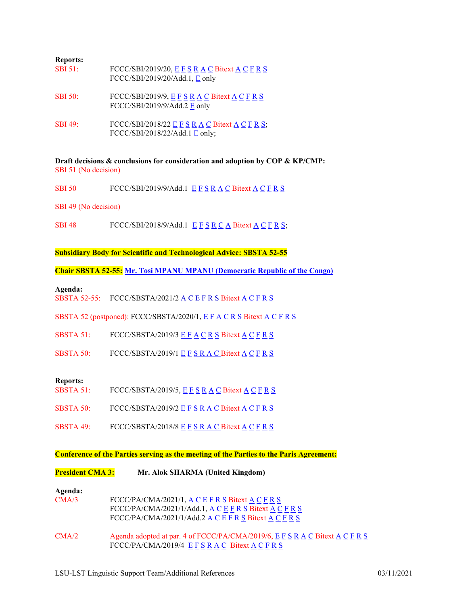| <b>Reports:</b> |                                                                                     |
|-----------------|-------------------------------------------------------------------------------------|
| <b>SBI 51:</b>  | FCCC/SBI/2019/20, E F S R A C Bitext A C F R S<br>$FCCC/SBI/2019/20/Add.1$ , E only |
| <b>SBI 50:</b>  | FCCC/SBI/2019/9, E F S R A C Bitext A C F R S<br>FCCC/SBI/2019/9/Add.2 E only       |
| <b>SBI</b> 49:  | FCCC/SBI/2018/22 E F S R A C Bitext A C F R S;<br>FCCC/SBI/2018/22/Add.1 E only;    |

**Draft decisions & conclusions for consideration and adoption by COP & KP/CMP:** SBI 51 (No decision)

SBI 50 [F](https://conferences.unite.un.org/documentstorage/MultiLanguageAlignment.bitext?DocID=f7f782c8-8331-4dae-bec4-af171ebcdcac&language1=ENGLISH&language2=French)CCC/[S](https://conferences.unite.un.org/documentstorage/MultiLanguageAlignment.bitext?DocID=f7f782c8-8331-4dae-bec4-af171ebcdcac&language1=ENGLISH&language2=Spanish)BI/2019/9/[A](https://conferences.unite.un.org/DocumentStorage/GetDocInOriginalFormat.drsx?DocID=5d358318-09e9-4502-8374-2a74b26ad0db)dd.1  $E F S R A C B$  $E F S R A C B$  $E F S R A C B$  $E F S R A C B$  $E F S R A C B$  $E F S R A C B$ itext  $A C F R S$ 

SBI 49 (No decision)

SBI 48 [F](https://conferences.unite.un.org/documentstorage/MultiLanguageAlignment.bitext?DocID=5ea1601c-a5ed-4c62-8865-82a8fb86ece0&language1=ENGLISH&language2=French)CCC/[S](https://conferences.unite.un.org/DocumentStorage/GetDocInOriginalFormat.drsx?DocID=02adb28a-ed46-4848-b152-78aaccf60498)BI/2018/9/[A](https://conferences.unite.un.org/DocumentStorage/GetDocInOriginalFormat.drsx?DocID=1b0524ba-e440-4836-b37b-a7a84e8bd0cf)dd.1  $E F S R C A B$  $E F S R C A B$  $E F S R C A B$  $E F S R C A B$  $E F S R C A B$  $E F S R C A B$ itex[t A](https://conferences.unite.un.org/documentstorage/MultiLanguageAlignment.bitext?DocID=5ea1601c-a5ed-4c62-8865-82a8fb86ece0&language1=ENGLISH&language2=Arabic) C F R [S;](https://conferences.unite.un.org/documentstorage/MultiLanguageAlignment.bitext?DocID=5ea1601c-a5ed-4c62-8865-82a8fb86ece0&language1=ENGLISH&language2=Spanish)

**Subsidiary Body for Scientific and Technological Advice: SBSTA 52-55**

**Chair SBSTA 52-55: Mr. Tosi MPANU MPANU [\(Democratic Republic of the Congo\)](https://unfccc.int/process-and-meetings/bodies/subsidiary-bodies/sbsta-chair-lobby)**

**Agenda:**

SBST[A](https://conferences.unite.un.org/documentstorage/Gdocfilesapi/GetDocInOriginalFormat?docId=9e52c72d-eb27-47b8-82f0-80cff1a22fe4) 52-55: F[C](https://conferences.unite.un.org/documentstorage/MultiLanguageAlignment.bitext?DocID=5fd3525b-bbd3-401a-9175-02decd9bf944&language1=ENGLISH&language2=Chinese)CC/[S](https://conferences.unite.un.org/documentstorage/MultiLanguageAlignment.bitext?DocID=5fd3525b-bbd3-401a-9175-02decd9bf944&language1=ENGLISH&language2=Spanish)BSTA/2021/2  $\underline{A}$  C [E](https://conferences.unite.un.org/documentstorage/Gdocfilesapi/GetDocInOriginalFormat?docId=5fd3525b-bbd3-401a-9175-02decd9bf944) [F](https://conferences.unite.un.org/documentstorage/MultiLanguageAlignment.bitext?DocID=5fd3525b-bbd3-401a-9175-02decd9bf944&language1=ENGLISH&language2=French) [R](https://conferences.unite.un.org/documentstorage/MultiLanguageAlignment.bitext?DocID=5fd3525b-bbd3-401a-9175-02decd9bf944&language1=ENGLISH&language2=Russian) S Bitext  $\underline{A}$  C F R S

SBSTA 52 (postponed): FCCC/SBSTA/2020/1, [E](https://conferences.unite.un.org/documentstorage/Gdocfilesapi/GetDocInOriginalFormat?docId=1a1b77ad-0ff2-41a5-874d-7098d1282283) [F](https://conferences.unite.un.org/documentstorage/MultiLanguageAlignment.bitext?DocID=1a1b77ad-0ff2-41a5-874d-7098d1282283&language1=ENGLISH&language2=French) [A](https://conferences.unite.un.org/documentstorage/Gdocfilesapi/GetDocInOriginalFormat?docId=cf8bdff3-4e02-4518-ac96-390803a2f50c) [C](https://conferences.unite.un.org/documentstorage/MultiLanguageAlignment.bitext?DocID=1a1b77ad-0ff2-41a5-874d-7098d1282283&language1=ENGLISH&language2=Chinese) [R](https://conferences.unite.un.org/documentstorage/MultiLanguageAlignment.bitext?DocID=1a1b77ad-0ff2-41a5-874d-7098d1282283&language1=ENGLISH&language2=Russian) [S](https://conferences.unite.un.org/documentstorage/MultiLanguageAlignment.bitext?DocID=1a1b77ad-0ff2-41a5-874d-7098d1282283&language1=ENGLISH&language2=Spanish) Bitext [A](https://conferences.unite.un.org/documentstorage/MultiLanguageAlignment.bitext?DocID=1a1b77ad-0ff2-41a5-874d-7098d1282283&language1=ENGLISH&language2=Arabic) C F R S

- SBSTA 51: [F](https://conferences.unite.un.org/documentstorage/MultiLanguageAlignment.bitext?DocID=39e80e79-6433-42e1-a5ed-79aed0a6d775&language1=ENGLISH&language2=French)CCC/SBST[A](https://conferences.unite.un.org/DocumentStorage/GetDocInOriginalFormat.drsx?DocID=475c24d6-53a0-4f16-bf04-b7826743a43a)/2019/3  $E F A C R S$  $E F A C R S$  $E F A C R S$  $E F A C R S$  $E F A C R S$  $E F A C R S$  $E F A C R S$  Bitext  $A C F R S$
- SBSTA 50: [F](https://conferences.unite.un.org/documentstorage/MultiLanguageAlignment.bitext?DocID=ab04c345-93d7-42b3-ac23-80446d4541e7&language1=ENGLISH&language2=French)CCC/[S](https://conferences.unite.un.org/documentstorage/MultiLanguageAlignment.bitext?DocID=ab04c345-93d7-42b3-ac23-80446d4541e7&language1=ENGLISH&language2=Spanish)BST[A](https://conferences.unite.un.org/DocumentStorage/GetDocInOriginalFormat.drsx?DocID=27832f3a-76bd-44a7-b021-8514c34e4610)/2019/1  $E F S R A C B$  $E F S R A C B$  $E F S R A C B$  $E F S R A C B$  $E F S R A C B$ itext  $A C F R S$

#### **Reports:**

- SBSTA 51: [F](https://conferences2.unite.un.org/documentstorage/MultiLanguageAlignment.bitext?DocID=644d7b09-a605-4107-be7e-5360ac2ad5b0&language1=ENGLISH&language2=French)CCC/[S](https://conferences2.unite.un.org/documentstorage/MultiLanguageAlignment.bitext?DocID=644d7b09-a605-4107-be7e-5360ac2ad5b0&language1=ENGLISH&language2=Spanish)BST[A](https://conferences.unite.un.org/documentstorage/Gdocfilesapi/GetDocInOriginalFormat?docId=b2d6d8b9-0159-44aa-9e69-0f233de9c822)/2019/5,  $E F S R A C B$  $E F S R A C B$  $E F S R A C B$  $E F S R A C B$  $E F S R A C B$ itext  $A C F R S$
- SBSTA 50: [F](https://conferences.unite.un.org/documentstorage/MultiLanguageAlignment.bitext?DocID=99d50016-4211-407c-86ee-bf978b945be4&language1=ENGLISH&language2=French)CCC/[S](https://conferences.unite.un.org/documentstorage/MultiLanguageAlignment.bitext?DocID=99d50016-4211-407c-86ee-bf978b945be4&language1=ENGLISH&language2=Spanish)BST[A](https://conferences.unite.un.org/documentstorage/Gdocfilesapi/GetDocInOriginalFormat?docId=84a7bcf0-773c-468a-8ce8-b376ee97737c)/2019/2  $E F S R A C B$  $E F S R A C B$  $E F S R A C B$  $E F S R A C B$  $E F S R A C B$ itext  $A C F R S$
- SBSTA 49: [F](https://conferences.unite.un.org/documentstorage/MultiLanguageAlignment.bitext?DocID=158625f8-1ae9-4ce5-8392-6fbb52566e4d&language1=ENGLISH&language2=French)CCC/[S](https://conferences.unite.un.org/documentstorage/MultiLanguageAlignment.bitext?DocID=158625f8-1ae9-4ce5-8392-6fbb52566e4d&language1=ENGLISH&language2=Spanish)BST[A](https://conferences.unite.un.org/DocumentStorage/GetDocInOriginalFormat.drsx?DocID=21402de4-e180-404d-b9bd-33bb20822a07)/2018/8  $E$  F S [R](https://conferences.unite.un.org/documentstorage/MultiLanguageAlignment.bitext?DocID=158625f8-1ae9-4ce5-8392-6fbb52566e4d&language1=ENGLISH&language2=Russian) A [C](https://conferences.unite.un.org/documentstorage/MultiLanguageAlignment.bitext?DocID=158625f8-1ae9-4ce5-8392-6fbb52566e4d&language1=ENGLISH&language2=Chinese) Bitext [A](https://conferences.unite.un.org/documentstorage/MultiLanguageAlignment.bitext?DocID=158625f8-1ae9-4ce5-8392-6fbb52566e4d&language1=ENGLISH&language2=Arabic) C F R S

### **Conference of the Parties serving as the meeting of the Parties to the Paris Agreement:**

| <b>President CMA 3:</b> | Mr. Alok SHARMA (United Kingdom) |  |
|-------------------------|----------------------------------|--|
|-------------------------|----------------------------------|--|

## **Agenda:**

| CMA/3 | $FCCC/PA/CMA/2021/1$ , $A C E F R S Bitext A C F R S$<br>$\text{FCCC/PA/CMA/2021/1/Add.1}, \text{A} \text{C} \text{E} \text{F} \text{R} \text{S} \text{Bitext A} \text{C} \text{F} \text{R} \text{S}$<br>$\text{FCCC}/\text{PA/CMA}/2021/1/\text{Add}.2 \text{ A} \text{ C} \text{ E} \text{ F} \text{ R} \text{ S}$ Bitext A C F R S |
|-------|---------------------------------------------------------------------------------------------------------------------------------------------------------------------------------------------------------------------------------------------------------------------------------------------------------------------------------------|
| CMA/2 | Agenda adopted at par. 4 of FCCC/PA/CMA/2019/6, $E F S R A C$ Bitext $A C F R S$<br>$\text{FCCC/PA/CMA/2019/4}$ E F S R A C Bitext A C F R S                                                                                                                                                                                          |